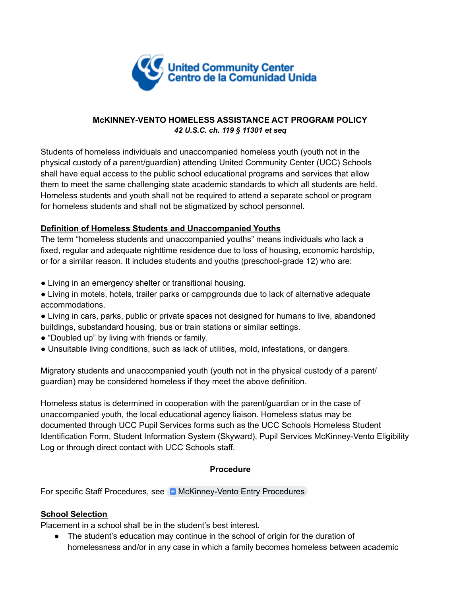

## **McKINNEY-VENTO HOMELESS ASSISTANCE ACT PROGRAM POLICY** *42 U.S.C. ch. 119 § 11301 et seq*

Students of homeless individuals and unaccompanied homeless youth (youth not in the physical custody of a parent/guardian) attending United Community Center (UCC) Schools shall have equal access to the public school educational programs and services that allow them to meet the same challenging state academic standards to which all students are held. Homeless students and youth shall not be required to attend a separate school or program for homeless students and shall not be stigmatized by school personnel.

# **Definition of Homeless Students and Unaccompanied Youths**

The term "homeless students and unaccompanied youths" means individuals who lack a fixed, regular and adequate nighttime residence due to loss of housing, economic hardship, or for a similar reason. It includes students and youths (preschool-grade 12) who are:

- Living in an emergency shelter or transitional housing.
- Living in motels, hotels, trailer parks or campgrounds due to lack of alternative adequate accommodations.
- Living in cars, parks, public or private spaces not designed for humans to live, abandoned buildings, substandard housing, bus or train stations or similar settings.
- "Doubled up" by living with friends or family.
- Unsuitable living conditions, such as lack of utilities, mold, infestations, or dangers.

Migratory students and unaccompanied youth (youth not in the physical custody of a parent/ guardian) may be considered homeless if they meet the above definition.

Homeless status is determined in cooperation with the parent/guardian or in the case of unaccompanied youth, the local educational agency liaison. Homeless status may be documented through UCC Pupil Services forms such as the UCC Schools Homeless Student Identification Form, Student Information System (Skyward), Pupil Services McKinney-Vento Eligibility Log or through direct contact with UCC Schools staff.

# **Procedure**

For specific Staff Procedures, see **B** [McKinney-Vento](https://docs.google.com/document/d/1umkQntTFN9Gk3kMlPUFg7if6HvVWaUrto9wNudAT6vg/edit) Entry Procedures

# **School Selection**

Placement in a school shall be in the student's best interest.

● The student's education may continue in the school of origin for the duration of homelessness and/or in any case in which a family becomes homeless between academic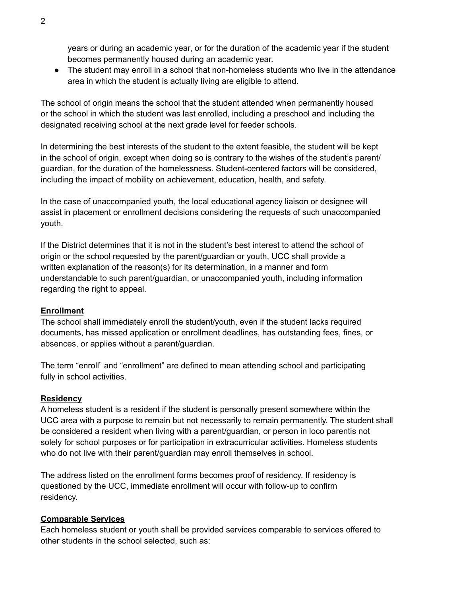years or during an academic year, or for the duration of the academic year if the student becomes permanently housed during an academic year.

● The student may enroll in a school that non-homeless students who live in the attendance area in which the student is actually living are eligible to attend.

The school of origin means the school that the student attended when permanently housed or the school in which the student was last enrolled, including a preschool and including the designated receiving school at the next grade level for feeder schools.

In determining the best interests of the student to the extent feasible, the student will be kept in the school of origin, except when doing so is contrary to the wishes of the student's parent/ guardian, for the duration of the homelessness. Student-centered factors will be considered, including the impact of mobility on achievement, education, health, and safety.

In the case of unaccompanied youth, the local educational agency liaison or designee will assist in placement or enrollment decisions considering the requests of such unaccompanied youth.

If the District determines that it is not in the student's best interest to attend the school of origin or the school requested by the parent/guardian or youth, UCC shall provide a written explanation of the reason(s) for its determination, in a manner and form understandable to such parent/guardian, or unaccompanied youth, including information regarding the right to appeal.

### **Enrollment**

The school shall immediately enroll the student/youth, even if the student lacks required documents, has missed application or enrollment deadlines, has outstanding fees, fines, or absences, or applies without a parent/guardian.

The term "enroll" and "enrollment" are defined to mean attending school and participating fully in school activities.

#### **Residency**

A homeless student is a resident if the student is personally present somewhere within the UCC area with a purpose to remain but not necessarily to remain permanently. The student shall be considered a resident when living with a parent/guardian, or person in loco parentis not solely for school purposes or for participation in extracurricular activities. Homeless students who do not live with their parent/guardian may enroll themselves in school.

The address listed on the enrollment forms becomes proof of residency. If residency is questioned by the UCC, immediate enrollment will occur with follow-up to confirm residency.

#### **Comparable Services**

Each homeless student or youth shall be provided services comparable to services offered to other students in the school selected, such as: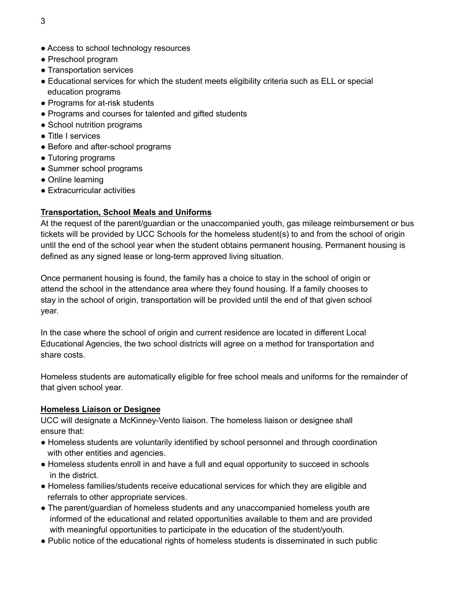- Access to school technology resources
- Preschool program
- Transportation services
- Educational services for which the student meets eligibility criteria such as ELL or special education programs
- Programs for at-risk students
- Programs and courses for talented and gifted students
- School nutrition programs
- Title I services
- Before and after-school programs
- Tutoring programs
- Summer school programs
- Online learning
- Extracurricular activities

### **Transportation, School Meals and Uniforms**

At the request of the parent/guardian or the unaccompanied youth, gas mileage reimbursement or bus tickets will be provided by UCC Schools for the homeless student(s) to and from the school of origin until the end of the school year when the student obtains permanent housing. Permanent housing is defined as any signed lease or long-term approved living situation.

Once permanent housing is found, the family has a choice to stay in the school of origin or attend the school in the attendance area where they found housing. If a family chooses to stay in the school of origin, transportation will be provided until the end of that given school year.

In the case where the school of origin and current residence are located in different Local Educational Agencies, the two school districts will agree on a method for transportation and share costs.

Homeless students are automatically eligible for free school meals and uniforms for the remainder of that given school year.

#### **Homeless Liaison or Designee**

UCC will designate a McKinney-Vento liaison. The homeless liaison or designee shall ensure that:

- Homeless students are voluntarily identified by school personnel and through coordination with other entities and agencies.
- Homeless students enroll in and have a full and equal opportunity to succeed in schools in the district.
- Homeless families/students receive educational services for which they are eligible and referrals to other appropriate services.
- The parent/guardian of homeless students and any unaccompanied homeless youth are informed of the educational and related opportunities available to them and are provided with meaningful opportunities to participate in the education of the student/youth.
- Public notice of the educational rights of homeless students is disseminated in such public